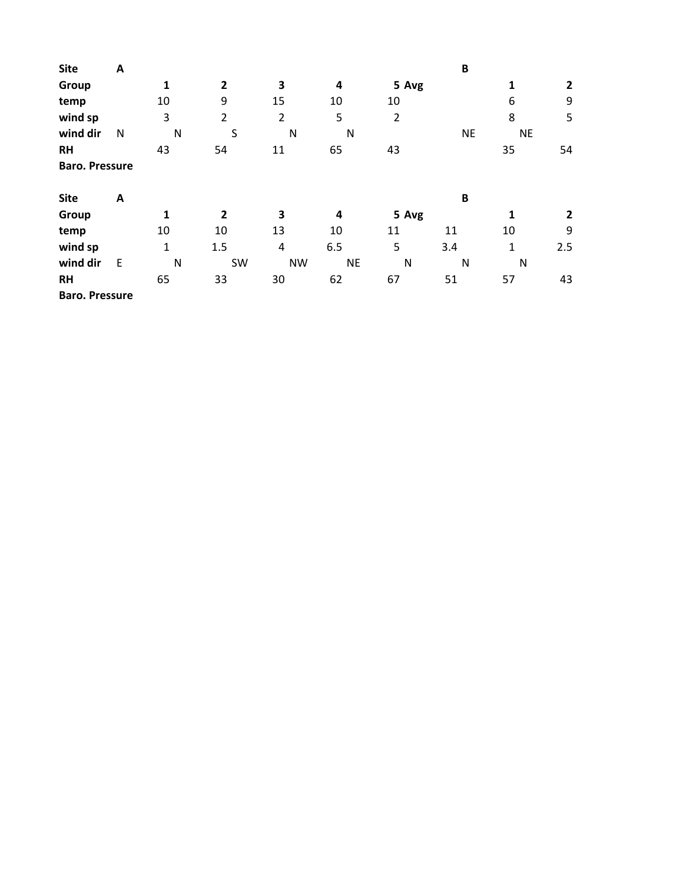| <b>Site</b>           | A |              |                |                |           |                | B            |              |              |
|-----------------------|---|--------------|----------------|----------------|-----------|----------------|--------------|--------------|--------------|
| Group                 |   | $\mathbf{1}$ | $\overline{2}$ | 3              | 4         | 5 Avg          |              | 1            | $\mathbf{2}$ |
| temp                  |   | 10           | 9              | 15             | 10        | 10             |              | 6            | 9            |
| wind sp               |   | 3            | $\overline{2}$ | $\overline{2}$ | 5         | $\overline{2}$ |              | 8            | 5            |
| wind dir              | N | N            | S              | N              | N         |                | <b>NE</b>    | <b>NE</b>    |              |
| <b>RH</b>             |   | 43           | 54             | 11             | 65        | 43             |              | 35           | 54           |
| <b>Baro. Pressure</b> |   |              |                |                |           |                |              |              |              |
| <b>Site</b>           | A |              |                |                |           |                | $\, {\bf B}$ |              |              |
| Group                 |   | $\mathbf{1}$ | $\overline{2}$ | 3              | 4         | 5 Avg          |              | 1            | $\mathbf{2}$ |
| temp                  |   | 10           | 10             | 13             | 10        | 11             | 11           | 10           | 9            |
| wind sp               |   | $\mathbf{1}$ | 1.5            | 4              | 6.5       | 5              | 3.4          | $\mathbf{1}$ | 2.5          |
| wind dir              | E | N            | SW             | <b>NW</b>      | <b>NE</b> | N              | N            | N            |              |
| <b>RH</b>             |   | 65           | 33             | 30             | 62        | 67             | 51           | 57           | 43           |
| <b>Baro. Pressure</b> |   |              |                |                |           |                |              |              |              |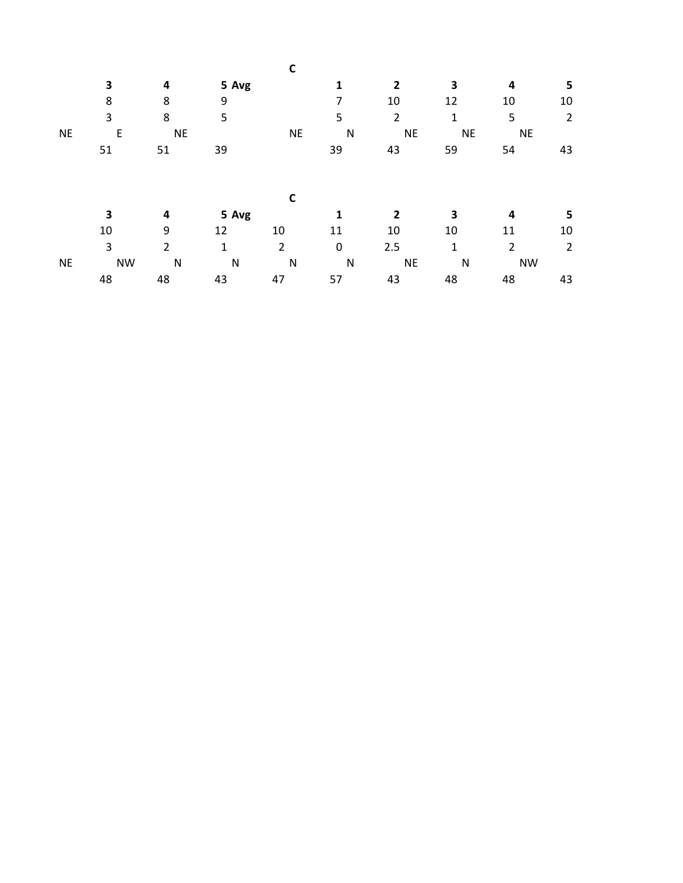|           | 3         | 4              | 5 Avg        |                | 1           | 2              | 3         | 4         | 5              |
|-----------|-----------|----------------|--------------|----------------|-------------|----------------|-----------|-----------|----------------|
|           | 8         | 8              | 9            |                | 7           | 10             | 12        | 10        | 10             |
|           | 3         | 8              | 5            |                | 5           | $\overline{2}$ | 1         | 5         | $\overline{2}$ |
| <b>NE</b> | E         | <b>NE</b>      |              | <b>NE</b>      | N           | <b>NE</b>      | <b>NE</b> | <b>NE</b> |                |
|           | 51        | 51             | 39           |                | 39          | 43             | 59        | 54        | 43             |
|           |           |                |              |                |             |                |           |           |                |
|           |           |                |              | C              |             |                |           |           |                |
|           | 3         | 4              | 5 Avg        |                | 1           | $\mathbf{2}$   | 3         | 4         | 5              |
|           | 10        | 9              | 12           | 10             | 11          | 10             | 10        | 11        | 10             |
|           | 3         | $\overline{2}$ | $\mathbf{1}$ | $\overline{2}$ | $\mathbf 0$ | 2.5            | 1         | 2         | 2              |
| <b>NE</b> | <b>NW</b> | $\mathsf{N}$   | $\mathsf{N}$ | N              | N           | <b>NE</b>      | N         | <b>NW</b> |                |
|           | 48        | 48             | 43           | 47             | 57          | 43             | 48        | 48        | 43             |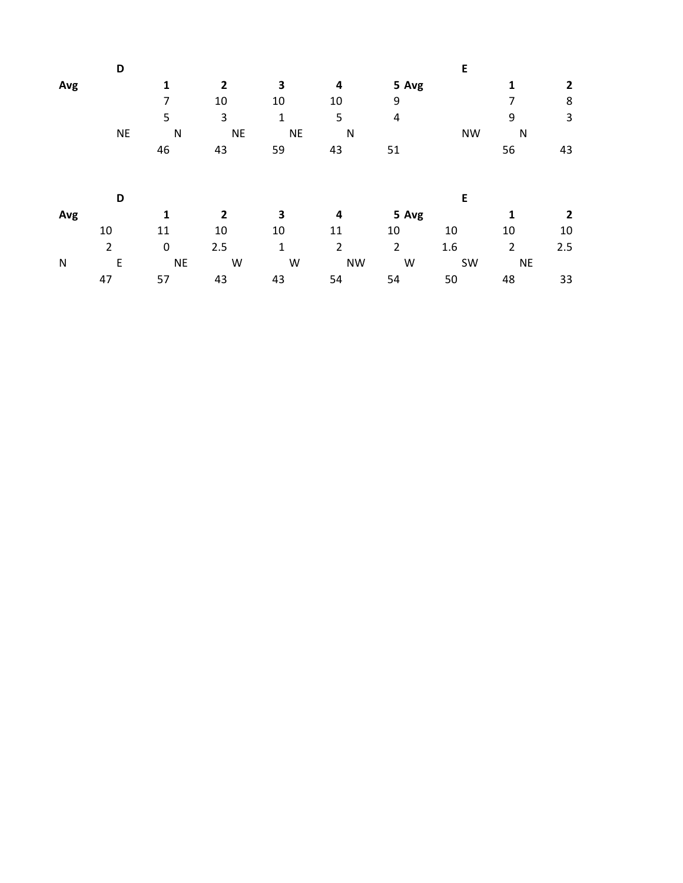|           | D              |             |                |           |                |                | E         |                |     |
|-----------|----------------|-------------|----------------|-----------|----------------|----------------|-----------|----------------|-----|
| Avg       |                | 1           | 2              | 3         | 4              | 5 Avg          |           | $\mathbf{1}$   | 2   |
|           |                | 7           | 10             | 10        | 10             | 9              |           |                | 8   |
|           |                | 5           | 3              | 1         | 5              | 4              |           | 9              | 3   |
|           | <b>NE</b>      | N           | <b>NE</b>      | <b>NE</b> | N              |                | <b>NW</b> | N              |     |
|           |                | 46          | 43             | 59        | 43             | 51             |           | 56             | 43  |
|           |                |             |                |           |                |                |           |                |     |
|           | D              |             |                |           |                |                | E         |                |     |
| Avg       |                | 1           | $\overline{2}$ | 3         | 4              | 5 Avg          |           | $\mathbf{1}$   | 2   |
|           | 10             | 11          | 10             | 10        | 11             | 10             | 10        | 10             | 10  |
|           | $\overline{2}$ | $\mathbf 0$ | 2.5            | 1         | $\overline{2}$ | $\overline{2}$ | 1.6       | $\overline{2}$ | 2.5 |
| ${\sf N}$ | E              | <b>NE</b>   | W              | W         | <b>NW</b>      | W              | SW        | <b>NE</b>      |     |
|           | 47             | 57          | 43             | 43        | 54             | 54             | 50        | 48             | 33  |